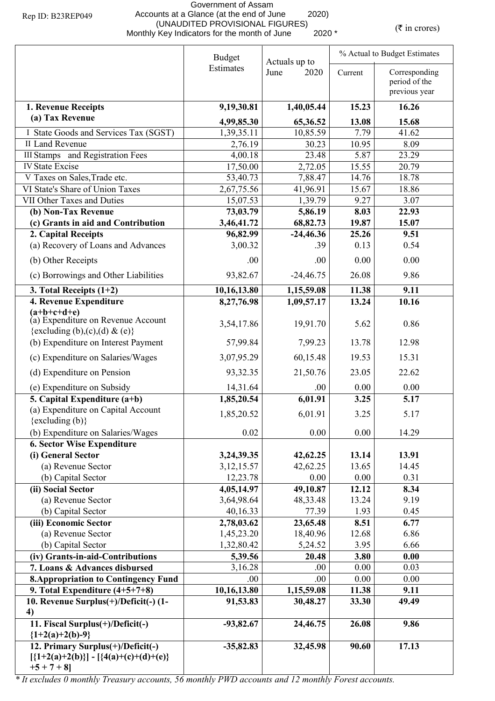## Government of Assam Accounts at a Glance (at the end of June 2020) (UNAUDITED PROVISIONAL FIGURES) (UNAUDITED PROVISIONAL FIGURES)<br>Monthly Key Indicators for the month of June 2020 \* (\* in crores)

|                                                                                                   | <b>Budget</b> | Actuals up to |         | % Actual to Budget Estimates                    |  |  |
|---------------------------------------------------------------------------------------------------|---------------|---------------|---------|-------------------------------------------------|--|--|
|                                                                                                   | Estimates     | June<br>2020  | Current | Corresponding<br>period of the<br>previous year |  |  |
| 1. Revenue Receipts                                                                               | 9,19,30.81    | 1,40,05.44    | 15.23   | 16.26                                           |  |  |
| (a) Tax Revenue                                                                                   | 4,99,85.30    | 65,36.52      | 13.08   | 15.68                                           |  |  |
| I State Goods and Services Tax (SGST)                                                             | 1,39,35.11    | 10,85.59      | 7.79    | 41.62                                           |  |  |
| <b>II Land Revenue</b>                                                                            | 2,76.19       | 30.23         | 10.95   | 8.09                                            |  |  |
| <b>III Stamps</b> and Registration Fees                                                           | 4,00.18       | 23.48         | 5.87    | 23.29                                           |  |  |
| <b>IV State Excise</b>                                                                            | 17,50.00      | 2,72.05       | 15.55   | 20.79                                           |  |  |
| V Taxes on Sales, Trade etc.                                                                      | 53,40.73      | 7,88.47       | 14.76   | 18.78                                           |  |  |
| VI State's Share of Union Taxes                                                                   | 2,67,75.56    | 41,96.91      | 15.67   | 18.86                                           |  |  |
| VII Other Taxes and Duties                                                                        | 15,07.53      | 1,39.79       | 9.27    | 3.07                                            |  |  |
| (b) Non-Tax Revenue                                                                               | 73,03.79      | 5,86.19       | 8.03    | 22.93                                           |  |  |
| (c) Grants in aid and Contribution                                                                | 3,46,41.72    | 68,82.73      | 19.87   | 15.07                                           |  |  |
| 2. Capital Receipts                                                                               | 96,82.99      | $-24,46.36$   | 25.26   | 9.51                                            |  |  |
| (a) Recovery of Loans and Advances                                                                | 3,00.32       | .39           | 0.13    | 0.54                                            |  |  |
| (b) Other Receipts                                                                                | .00           | .00.          | 0.00    | 0.00                                            |  |  |
| (c) Borrowings and Other Liabilities                                                              | 93,82.67      | $-24,46.75$   | 26.08   | 9.86                                            |  |  |
| 3. Total Receipts $(1+2)$                                                                         | 10,16,13.80   | 1,15,59.08    | 11.38   | 9.11                                            |  |  |
| 4. Revenue Expenditure                                                                            | 8,27,76.98    | 1,09,57.17    | 13.24   | 10.16                                           |  |  |
| $(a+b+c+d+e)$<br>(a) Expenditure on Revenue Account<br>{excluding (b),(c),(d) & (e)}              | 3,54,17.86    | 19,91.70      | 5.62    | 0.86                                            |  |  |
| (b) Expenditure on Interest Payment                                                               | 57,99.84      | 7,99.23       | 13.78   | 12.98                                           |  |  |
| (c) Expenditure on Salaries/Wages                                                                 | 3,07,95.29    | 60,15.48      | 19.53   | 15.31                                           |  |  |
| (d) Expenditure on Pension                                                                        | 93, 32. 35    | 21,50.76      | 23.05   | 22.62                                           |  |  |
| (e) Expenditure on Subsidy                                                                        | 14,31.64      | .00           | 0.00    | 0.00                                            |  |  |
| 5. Capital Expenditure (a+b)                                                                      | 1,85,20.54    | 6,01.91       | 3.25    | 5.17                                            |  |  |
| (a) Expenditure on Capital Account<br>$\{excluding (b)\}$                                         | 1,85,20.52    | 6,01.91       | 3.25    | 5.17                                            |  |  |
| (b) Expenditure on Salaries/Wages                                                                 | 0.02          | 0.00          | 0.00    | 14.29                                           |  |  |
| <b>6. Sector Wise Expenditure</b>                                                                 |               |               |         |                                                 |  |  |
| (i) General Sector                                                                                | 3,24,39.35    | 42,62.25      | 13.14   | 13.91                                           |  |  |
| (a) Revenue Sector                                                                                | 3, 12, 15.57  | 42,62.25      | 13.65   | 14.45                                           |  |  |
| (b) Capital Sector                                                                                | 12,23.78      | 0.00          | 0.00    | 0.31                                            |  |  |
| (ii) Social Sector                                                                                | 4,05,14.97    | 49,10.87      | 12.12   | 8.34                                            |  |  |
| (a) Revenue Sector                                                                                | 3,64,98.64    | 48,33.48      | 13.24   | 9.19                                            |  |  |
| (b) Capital Sector                                                                                | 40,16.33      | 77.39         | 1.93    | 0.45                                            |  |  |
| (iii) Economic Sector                                                                             | 2,78,03.62    | 23,65.48      | 8.51    | 6.77                                            |  |  |
| (a) Revenue Sector                                                                                | 1,45,23.20    | 18,40.96      | 12.68   | 6.86                                            |  |  |
| (b) Capital Sector                                                                                | 1,32,80.42    | 5,24.52       | 3.95    | 6.66                                            |  |  |
| (iv) Grants-in-aid-Contributions                                                                  | 5,39.56       | 20.48         | 3.80    | 0.00                                            |  |  |
| 7. Loans & Advances disbursed                                                                     | 3,16.28       | .00.          | 0.00    | 0.03                                            |  |  |
| <b>8. Appropriation to Contingency Fund</b>                                                       | .00           | .00           | 0.00    | 0.00                                            |  |  |
| 9. Total Expenditure $(4+5+7+8)$                                                                  | 10,16,13.80   | 1,15,59.08    | 11.38   | 9.11                                            |  |  |
| 10. Revenue Surplus(+)/Deficit(-) (1-<br>4)                                                       | 91,53.83      | 30,48.27      | 33.30   | 49.49                                           |  |  |
| 11. Fiscal Surplus(+)/Deficit(-)<br>${1+2(a)+2(b)-9}$                                             | $-93,82.67$   | 24,46.75      | 26.08   | 9.86                                            |  |  |
| 12. Primary Surplus(+)/Deficit(-)<br>$[\{1+2(a)+2(b)\}] - [\{4(a)+(c)+(d)+(e)\}]$<br>$+5 + 7 + 8$ | $-35,82.83$   | 32,45.98      | 90.60   | 17.13                                           |  |  |

*\* It excludes 0 monthly Treasury accounts, 56 monthly PWD accounts and 12 monthly Forest accounts.*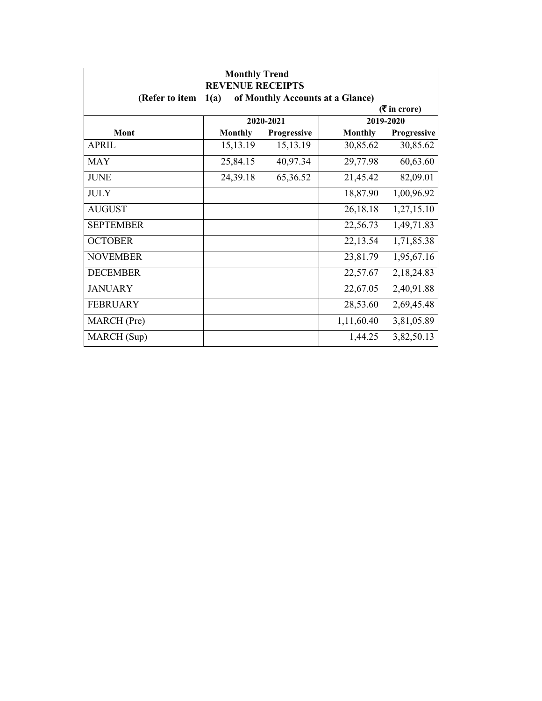| <b>Monthly Trend</b><br><b>REVENUE RECEIPTS</b> |                                          |             |                |             |  |
|-------------------------------------------------|------------------------------------------|-------------|----------------|-------------|--|
| (Refer to item                                  | of Monthly Accounts at a Glance)<br>1(a) |             |                |             |  |
| $(3\overline{5})$ in crore)                     |                                          |             |                |             |  |
|                                                 |                                          | 2020-2021   |                | 2019-2020   |  |
| Mont                                            | <b>Monthly</b>                           | Progressive | <b>Monthly</b> | Progressive |  |
| <b>APRIL</b>                                    | 15,13.19                                 | 15,13.19    | 30,85.62       | 30,85.62    |  |
| <b>MAY</b>                                      | 25,84.15                                 | 40,97.34    | 29,77.98       | 60,63.60    |  |
| <b>JUNE</b>                                     | 24,39.18                                 | 65,36.52    | 21,45.42       | 82,09.01    |  |
| <b>JULY</b>                                     |                                          |             | 18,87.90       | 1,00,96.92  |  |
| <b>AUGUST</b>                                   |                                          |             | 26,18.18       | 1,27,15.10  |  |
| <b>SEPTEMBER</b>                                |                                          |             | 22,56.73       | 1,49,71.83  |  |
| <b>OCTOBER</b>                                  |                                          |             | 22,13.54       | 1,71,85.38  |  |
| <b>NOVEMBER</b>                                 |                                          |             | 23,81.79       | 1,95,67.16  |  |
| <b>DECEMBER</b>                                 |                                          |             | 22,57.67       | 2,18,24.83  |  |
| <b>JANUARY</b>                                  |                                          |             | 22,67.05       | 2,40,91.88  |  |
| <b>FEBRUARY</b>                                 |                                          |             | 28,53.60       | 2,69,45.48  |  |
| MARCH (Pre)                                     |                                          |             | 1,11,60.40     | 3,81,05.89  |  |
| MARCH (Sup)                                     |                                          |             | 1,44.25        | 3,82,50.13  |  |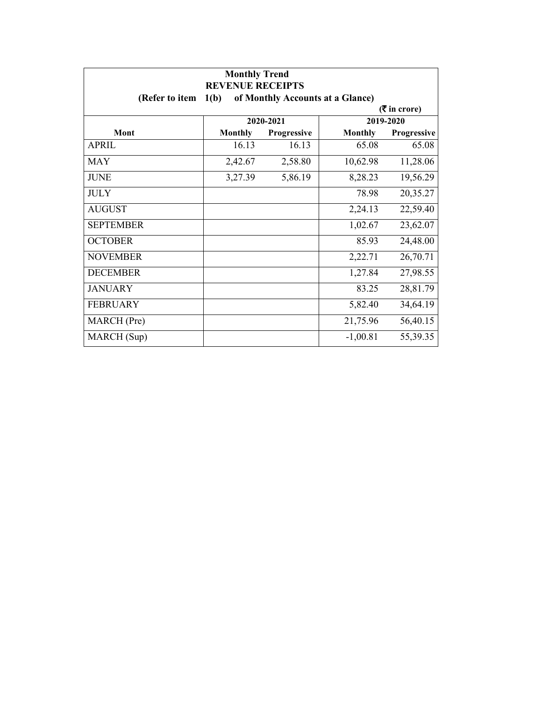| <b>Monthly Trend</b><br><b>REVENUE RECEIPTS</b> |                |                    |                                  |             |
|-------------------------------------------------|----------------|--------------------|----------------------------------|-------------|
| (Refer to item                                  | 1(b)           |                    | of Monthly Accounts at a Glance) |             |
| $(3\overline{5})$ in crore)                     |                |                    |                                  |             |
|                                                 |                | 2020-2021          |                                  | 2019-2020   |
| Mont                                            | <b>Monthly</b> | <b>Progressive</b> | <b>Monthly</b>                   | Progressive |
| APRIL                                           | 16.13          | 16.13              | 65.08                            | 65.08       |
| <b>MAY</b>                                      | 2,42.67        | 2,58.80            | 10,62.98                         | 11,28.06    |
| <b>JUNE</b>                                     | 3,27.39        | 5,86.19            | 8,28.23                          | 19,56.29    |
| <b>JULY</b>                                     |                |                    | 78.98                            | 20,35.27    |
| <b>AUGUST</b>                                   |                |                    | 2,24.13                          | 22,59.40    |
| <b>SEPTEMBER</b>                                |                |                    | 1,02.67                          | 23,62.07    |
| <b>OCTOBER</b>                                  |                |                    | 85.93                            | 24,48.00    |
| <b>NOVEMBER</b>                                 |                |                    | 2,22.71                          | 26,70.71    |
| <b>DECEMBER</b>                                 |                |                    | 1,27.84                          | 27,98.55    |
| <b>JANUARY</b>                                  |                |                    | 83.25                            | 28,81.79    |
| <b>FEBRUARY</b>                                 |                |                    | 5,82.40                          | 34,64.19    |
| MARCH (Pre)                                     |                |                    | 21,75.96                         | 56,40.15    |
| MARCH (Sup)                                     |                |                    | $-1,00.81$                       | 55,39.35    |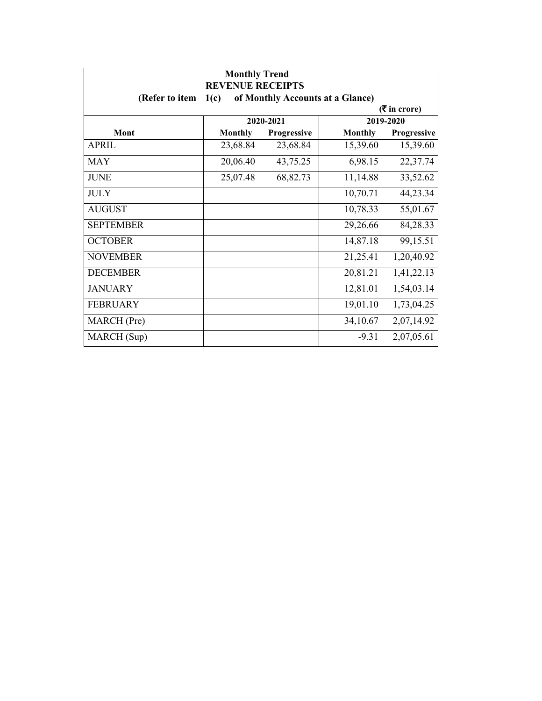| <b>Monthly Trend</b><br><b>REVENUE RECEIPTS</b>            |                |             |                |             |  |
|------------------------------------------------------------|----------------|-------------|----------------|-------------|--|
| (Refer to item<br>1(c)<br>of Monthly Accounts at a Glance) |                |             |                |             |  |
| $(3\overline{5})$ in crore)                                |                |             |                |             |  |
|                                                            |                | 2020-2021   |                | 2019-2020   |  |
| Mont                                                       | <b>Monthly</b> | Progressive | <b>Monthly</b> | Progressive |  |
| <b>APRIL</b>                                               | 23,68.84       | 23,68.84    | 15,39.60       | 15,39.60    |  |
| <b>MAY</b>                                                 | 20,06.40       | 43,75.25    | 6,98.15        | 22,37.74    |  |
| <b>JUNE</b>                                                | 25,07.48       | 68,82.73    | 11,14.88       | 33,52.62    |  |
| <b>JULY</b>                                                |                |             | 10,70.71       | 44,23.34    |  |
| <b>AUGUST</b>                                              |                |             | 10,78.33       | 55,01.67    |  |
| <b>SEPTEMBER</b>                                           |                |             | 29,26.66       | 84,28.33    |  |
| <b>OCTOBER</b>                                             |                |             | 14,87.18       | 99,15.51    |  |
| <b>NOVEMBER</b>                                            |                |             | 21,25.41       | 1,20,40.92  |  |
| <b>DECEMBER</b>                                            |                |             | 20,81.21       | 1,41,22.13  |  |
| <b>JANUARY</b>                                             |                |             | 12,81.01       | 1,54,03.14  |  |
| <b>FEBRUARY</b>                                            |                |             | 19,01.10       | 1,73,04.25  |  |
| MARCH (Pre)                                                |                |             | 34,10.67       | 2,07,14.92  |  |
| MARCH (Sup)                                                |                |             | $-9.31$        | 2,07,05.61  |  |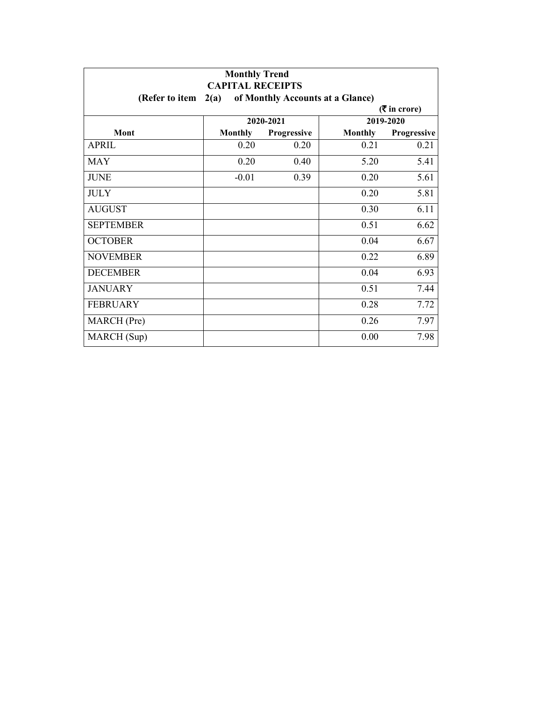| <b>Monthly Trend</b><br><b>CAPITAL RECEIPTS</b> |                |                                  |                |             |
|-------------------------------------------------|----------------|----------------------------------|----------------|-------------|
| (Refer to item                                  | 2(a)           | of Monthly Accounts at a Glance) |                |             |
| $($ ₹ in crore)                                 |                |                                  |                |             |
|                                                 |                | 2020-2021                        |                | 2019-2020   |
| Mont                                            | <b>Monthly</b> | Progressive                      | <b>Monthly</b> | Progressive |
| <b>APRIL</b>                                    | 0.20           | 0.20                             | 0.21           | 0.21        |
| <b>MAY</b>                                      | 0.20           | 0.40                             | 5.20           | 5.41        |
| <b>JUNE</b>                                     | $-0.01$        | 0.39                             | 0.20           | 5.61        |
| <b>JULY</b>                                     |                |                                  | 0.20           | 5.81        |
| <b>AUGUST</b>                                   |                |                                  | 0.30           | 6.11        |
| <b>SEPTEMBER</b>                                |                |                                  | 0.51           | 6.62        |
| <b>OCTOBER</b>                                  |                |                                  | 0.04           | 6.67        |
| <b>NOVEMBER</b>                                 |                |                                  | 0.22           | 6.89        |
| <b>DECEMBER</b>                                 |                |                                  | 0.04           | 6.93        |
| <b>JANUARY</b>                                  |                |                                  | 0.51           | 7.44        |
| <b>FEBRUARY</b>                                 |                |                                  | 0.28           | 7.72        |
| MARCH (Pre)                                     |                |                                  | 0.26           | 7.97        |
| MARCH (Sup)                                     |                |                                  | 0.00           | 7.98        |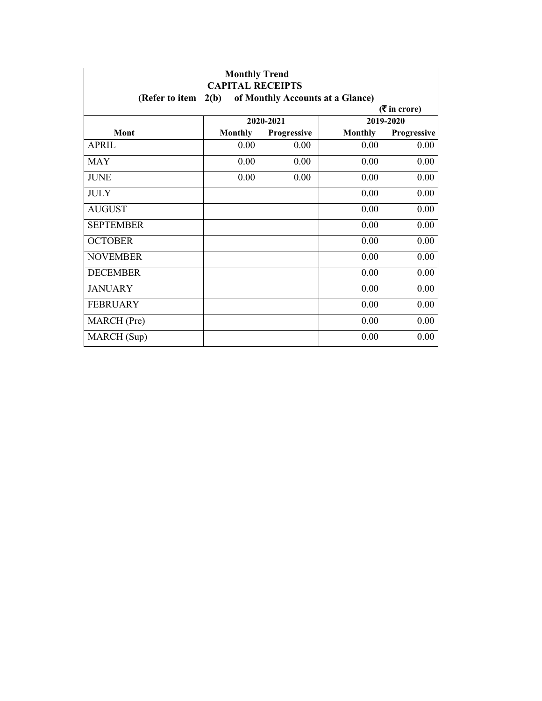| <b>Monthly Trend</b><br><b>CAPITAL RECEIPTS</b> |                 |                                  |                |             |  |
|-------------------------------------------------|-----------------|----------------------------------|----------------|-------------|--|
| (Refer to item $2(b)$ )                         |                 | of Monthly Accounts at a Glance) |                |             |  |
|                                                 | $($ ₹ in crore) |                                  |                |             |  |
|                                                 |                 | 2020-2021                        |                | 2019-2020   |  |
| Mont                                            | <b>Monthly</b>  | Progressive                      | <b>Monthly</b> | Progressive |  |
| <b>APRIL</b>                                    | 0.00            | 0.00                             | 0.00           | 0.00        |  |
| <b>MAY</b>                                      | 0.00            | 0.00                             | 0.00           | 0.00        |  |
| <b>JUNE</b>                                     | 0.00            | 0.00                             | 0.00           | 0.00        |  |
| <b>JULY</b>                                     |                 |                                  | 0.00           | 0.00        |  |
| <b>AUGUST</b>                                   |                 |                                  | 0.00           | 0.00        |  |
| <b>SEPTEMBER</b>                                |                 |                                  | 0.00           | 0.00        |  |
| <b>OCTOBER</b>                                  |                 |                                  | 0.00           | 0.00        |  |
| <b>NOVEMBER</b>                                 |                 |                                  | 0.00           | 0.00        |  |
| <b>DECEMBER</b>                                 |                 |                                  | 0.00           | 0.00        |  |
| <b>JANUARY</b>                                  |                 |                                  | 0.00           | 0.00        |  |
| <b>FEBRUARY</b>                                 |                 |                                  | 0.00           | 0.00        |  |
| MARCH (Pre)                                     |                 |                                  | 0.00           | 0.00        |  |
| MARCH (Sup)                                     |                 |                                  | 0.00           | 0.00        |  |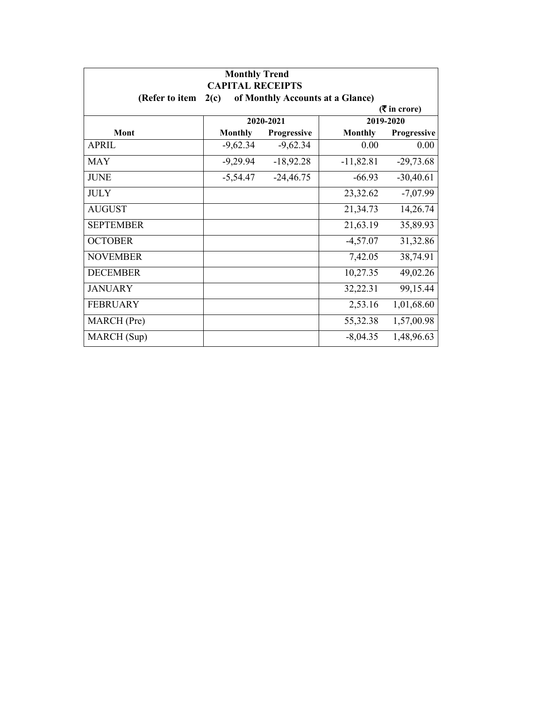| <b>Monthly Trend</b><br><b>CAPITAL RECEIPTS</b> |                             |                                  |                |             |  |
|-------------------------------------------------|-----------------------------|----------------------------------|----------------|-------------|--|
| (Refer to item                                  | 2(c)                        | of Monthly Accounts at a Glance) |                |             |  |
|                                                 | $(3\overline{5})$ in crore) |                                  |                |             |  |
|                                                 |                             | 2020-2021                        |                | 2019-2020   |  |
| Mont                                            | <b>Monthly</b>              | Progressive                      | <b>Monthly</b> | Progressive |  |
| <b>APRIL</b>                                    | $-9,62.34$                  | $-9,62.34$                       | 0.00           | 0.00        |  |
| <b>MAY</b>                                      | $-9,29.94$                  | $-18,92.28$                      | $-11,82.81$    | $-29,73.68$ |  |
| <b>JUNE</b>                                     | $-5,54.47$                  | $-24,46.75$                      | $-66.93$       | $-30,40.61$ |  |
| <b>JULY</b>                                     |                             |                                  | 23,32.62       | $-7,07.99$  |  |
| <b>AUGUST</b>                                   |                             |                                  | 21,34.73       | 14,26.74    |  |
| <b>SEPTEMBER</b>                                |                             |                                  | 21,63.19       | 35,89.93    |  |
| <b>OCTOBER</b>                                  |                             |                                  | $-4,57.07$     | 31,32.86    |  |
| <b>NOVEMBER</b>                                 |                             |                                  | 7,42.05        | 38,74.91    |  |
| <b>DECEMBER</b>                                 |                             |                                  | 10,27.35       | 49,02.26    |  |
| <b>JANUARY</b>                                  |                             |                                  | 32,22.31       | 99,15.44    |  |
| <b>FEBRUARY</b>                                 |                             |                                  | 2,53.16        | 1,01,68.60  |  |
| MARCH (Pre)                                     |                             |                                  | 55,32.38       | 1,57,00.98  |  |
| MARCH (Sup)                                     |                             |                                  | $-8,04.35$     | 1,48,96.63  |  |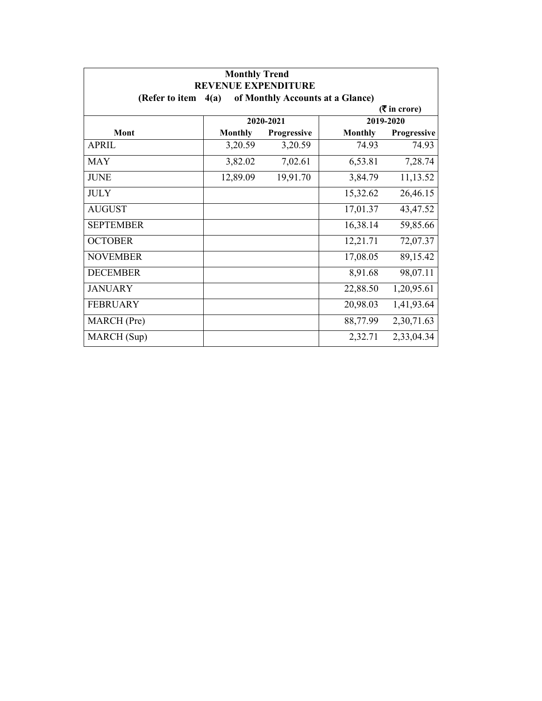| <b>Monthly Trend</b><br><b>REVENUE EXPENDITURE</b> |                |                                  |                |                             |
|----------------------------------------------------|----------------|----------------------------------|----------------|-----------------------------|
| (Refer to item $4(a)$ )                            |                | of Monthly Accounts at a Glance) |                |                             |
|                                                    |                |                                  |                | $(3\overline{5})$ in crore) |
|                                                    |                | 2020-2021                        |                | 2019-2020                   |
| Mont                                               | <b>Monthly</b> | <b>Progressive</b>               | <b>Monthly</b> | <b>Progressive</b>          |
| APRIL                                              | 3,20.59        | 3,20.59                          | 74.93          | 74.93                       |
| <b>MAY</b>                                         | 3,82.02        | 7,02.61                          | 6,53.81        | 7,28.74                     |
| <b>JUNE</b>                                        | 12,89.09       | 19,91.70                         | 3,84.79        | 11,13.52                    |
| <b>JULY</b>                                        |                |                                  | 15,32.62       | 26,46.15                    |
| <b>AUGUST</b>                                      |                |                                  | 17,01.37       | 43,47.52                    |
| <b>SEPTEMBER</b>                                   |                |                                  | 16,38.14       | 59,85.66                    |
| <b>OCTOBER</b>                                     |                |                                  | 12,21.71       | 72,07.37                    |
| <b>NOVEMBER</b>                                    |                |                                  | 17,08.05       | 89,15.42                    |
| <b>DECEMBER</b>                                    |                |                                  | 8,91.68        | 98,07.11                    |
| <b>JANUARY</b>                                     |                |                                  | 22,88.50       | 1,20,95.61                  |
| <b>FEBRUARY</b>                                    |                |                                  | 20,98.03       | 1,41,93.64                  |
| MARCH (Pre)                                        |                |                                  | 88,77.99       | 2,30,71.63                  |
| MARCH (Sup)                                        |                |                                  | 2,32.71        | 2,33,04.34                  |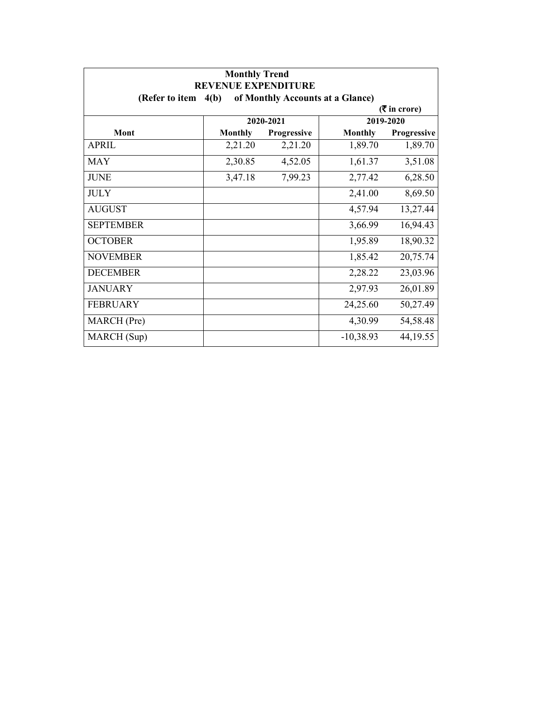| <b>Monthly Trend</b><br><b>REVENUE EXPENDITURE</b> |                |                                  |                |                             |
|----------------------------------------------------|----------------|----------------------------------|----------------|-----------------------------|
| (Refer to item $4(b)$ )                            |                | of Monthly Accounts at a Glance) |                |                             |
|                                                    |                |                                  |                | $(3\overline{5})$ in crore) |
|                                                    |                | 2020-2021                        |                | 2019-2020                   |
| Mont                                               | <b>Monthly</b> | Progressive                      | <b>Monthly</b> | Progressive                 |
| <b>APRIL</b>                                       | 2,21.20        | 2,21.20                          | 1,89.70        | 1,89.70                     |
| <b>MAY</b>                                         | 2,30.85        | 4,52.05                          | 1,61.37        | 3,51.08                     |
| <b>JUNE</b>                                        | 3,47.18        | 7,99.23                          | 2,77.42        | 6,28.50                     |
| <b>JULY</b>                                        |                |                                  | 2,41.00        | 8,69.50                     |
| <b>AUGUST</b>                                      |                |                                  | 4,57.94        | 13,27.44                    |
| <b>SEPTEMBER</b>                                   |                |                                  | 3,66.99        | 16,94.43                    |
| <b>OCTOBER</b>                                     |                |                                  | 1,95.89        | 18,90.32                    |
| <b>NOVEMBER</b>                                    |                |                                  | 1,85.42        | 20,75.74                    |
| <b>DECEMBER</b>                                    |                |                                  | 2,28.22        | 23,03.96                    |
| <b>JANUARY</b>                                     |                |                                  | 2,97.93        | 26,01.89                    |
| <b>FEBRUARY</b>                                    |                |                                  | 24,25.60       | 50,27.49                    |
| MARCH (Pre)                                        |                |                                  | 4,30.99        | 54,58.48                    |
| MARCH (Sup)                                        |                |                                  | $-10,38.93$    | 44, 19.55                   |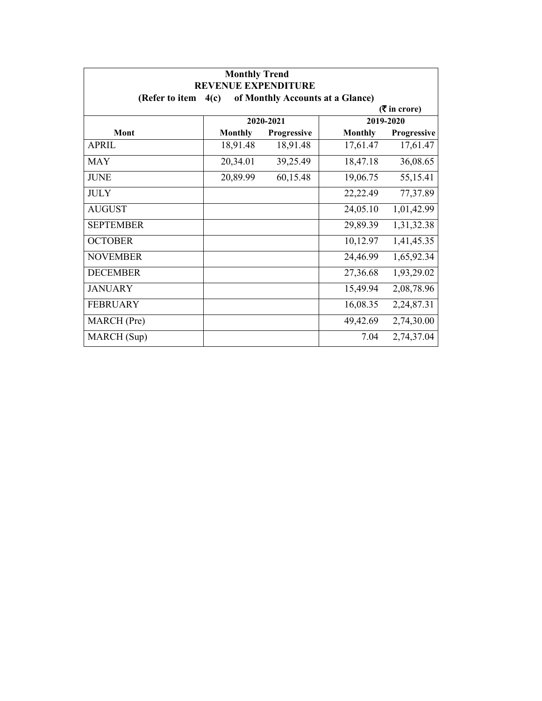| <b>Monthly Trend</b><br><b>REVENUE EXPENDITURE</b> |                |                                  |                |                             |
|----------------------------------------------------|----------------|----------------------------------|----------------|-----------------------------|
| (Refer to item                                     | 4(c)           | of Monthly Accounts at a Glance) |                |                             |
|                                                    |                |                                  |                | $(3\overline{5})$ in crore) |
|                                                    |                | 2020-2021                        |                | 2019-2020                   |
| Mont                                               | <b>Monthly</b> | <b>Progressive</b>               | <b>Monthly</b> | <b>Progressive</b>          |
| APRIL                                              | 18,91.48       | 18,91.48                         | 17,61.47       | 17,61.47                    |
| <b>MAY</b>                                         | 20,34.01       | 39,25.49                         | 18,47.18       | 36,08.65                    |
| <b>JUNE</b>                                        | 20,89.99       | 60,15.48                         | 19,06.75       | 55,15.41                    |
| <b>JULY</b>                                        |                |                                  | 22,22.49       | 77,37.89                    |
| <b>AUGUST</b>                                      |                |                                  | 24,05.10       | 1,01,42.99                  |
| <b>SEPTEMBER</b>                                   |                |                                  | 29,89.39       | 1,31,32.38                  |
| <b>OCTOBER</b>                                     |                |                                  | 10,12.97       | 1,41,45.35                  |
| <b>NOVEMBER</b>                                    |                |                                  | 24,46.99       | 1,65,92.34                  |
| <b>DECEMBER</b>                                    |                |                                  | 27,36.68       | 1,93,29.02                  |
| <b>JANUARY</b>                                     |                |                                  | 15,49.94       | 2,08,78.96                  |
| <b>FEBRUARY</b>                                    |                |                                  | 16,08.35       | 2,24,87.31                  |
| MARCH (Pre)                                        |                |                                  | 49,42.69       | 2,74,30.00                  |
| MARCH (Sup)                                        |                |                                  | 7.04           | 2,74,37.04                  |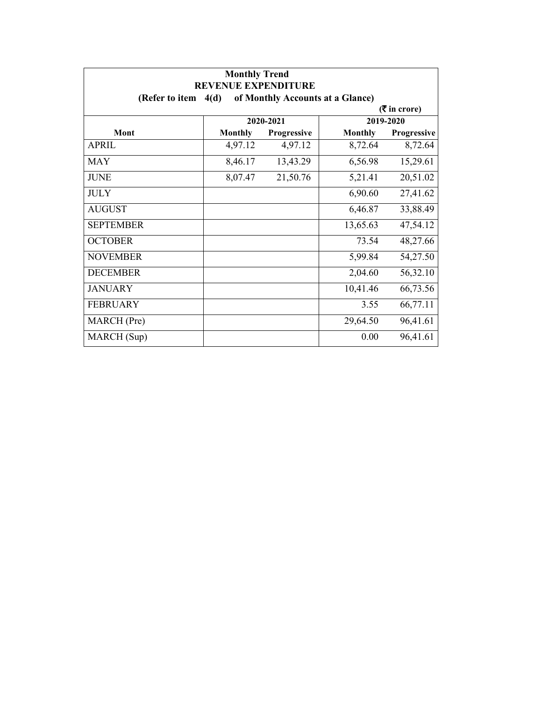| <b>Monthly Trend</b><br><b>REVENUE EXPENDITURE</b> |                |                                  |                |                             |
|----------------------------------------------------|----------------|----------------------------------|----------------|-----------------------------|
| (Refer to item $4(d)$                              |                | of Monthly Accounts at a Glance) |                |                             |
|                                                    |                |                                  |                | $(3\overline{5})$ in crore) |
|                                                    |                | 2020-2021                        |                | 2019-2020                   |
| Mont                                               | <b>Monthly</b> | Progressive                      | <b>Monthly</b> | <b>Progressive</b>          |
| <b>APRIL</b>                                       | 4,97.12        | 4,97.12                          | 8,72.64        | 8,72.64                     |
| <b>MAY</b>                                         | 8,46.17        | 13,43.29                         | 6,56.98        | 15,29.61                    |
| <b>JUNE</b>                                        | 8,07.47        | 21,50.76                         | 5,21.41        | 20,51.02                    |
| <b>JULY</b>                                        |                |                                  | 6,90.60        | 27,41.62                    |
| <b>AUGUST</b>                                      |                |                                  | 6,46.87        | 33,88.49                    |
| <b>SEPTEMBER</b>                                   |                |                                  | 13,65.63       | 47,54.12                    |
| <b>OCTOBER</b>                                     |                |                                  | 73.54          | 48,27.66                    |
| <b>NOVEMBER</b>                                    |                |                                  | 5,99.84        | 54,27.50                    |
| <b>DECEMBER</b>                                    |                |                                  | 2,04.60        | 56,32.10                    |
| <b>JANUARY</b>                                     |                |                                  | 10,41.46       | 66,73.56                    |
| <b>FEBRUARY</b>                                    |                |                                  | 3.55           | 66,77.11                    |
| MARCH (Pre)                                        |                |                                  | 29,64.50       | 96,41.61                    |
| MARCH (Sup)                                        |                |                                  | 0.00           | 96,41.61                    |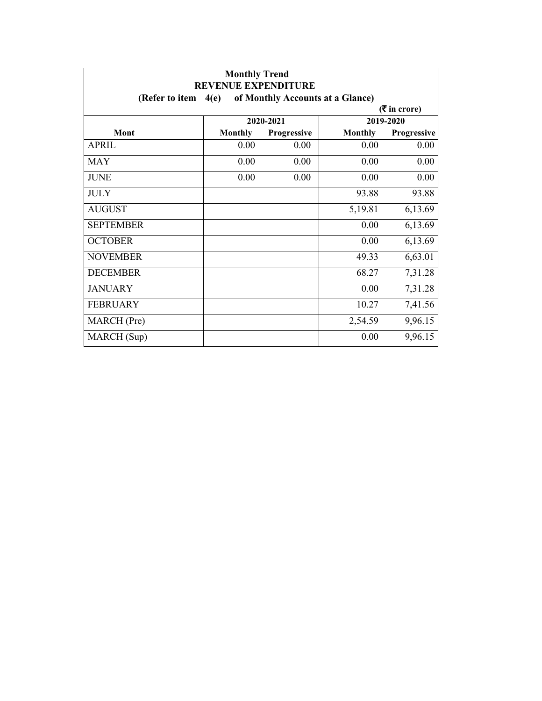| <b>Monthly Trend</b><br><b>REVENUE EXPENDITURE</b> |                |                                  |                |                             |
|----------------------------------------------------|----------------|----------------------------------|----------------|-----------------------------|
| (Refer to item                                     | 4(e)           | of Monthly Accounts at a Glance) |                |                             |
|                                                    |                |                                  |                | $(3\overline{5})$ in crore) |
|                                                    |                | 2020-2021                        |                | 2019-2020                   |
| Mont                                               | <b>Monthly</b> | Progressive                      | <b>Monthly</b> | Progressive                 |
| <b>APRIL</b>                                       | 0.00           | 0.00                             | 0.00           | 0.00                        |
| <b>MAY</b>                                         | 0.00           | 0.00                             | 0.00           | 0.00                        |
| <b>JUNE</b>                                        | 0.00           | 0.00                             | 0.00           | 0.00                        |
| <b>JULY</b>                                        |                |                                  | 93.88          | 93.88                       |
| <b>AUGUST</b>                                      |                |                                  | 5,19.81        | 6,13.69                     |
| <b>SEPTEMBER</b>                                   |                |                                  | 0.00           | 6,13.69                     |
| <b>OCTOBER</b>                                     |                |                                  | 0.00           | 6,13.69                     |
| <b>NOVEMBER</b>                                    |                |                                  | 49.33          | 6,63.01                     |
| <b>DECEMBER</b>                                    |                |                                  | 68.27          | 7,31.28                     |
| <b>JANUARY</b>                                     |                |                                  | 0.00           | 7,31.28                     |
| <b>FEBRUARY</b>                                    |                |                                  | 10.27          | 7,41.56                     |
| MARCH (Pre)                                        |                |                                  | 2,54.59        | 9,96.15                     |
| MARCH (Sup)                                        |                |                                  | 0.00           | 9,96.15                     |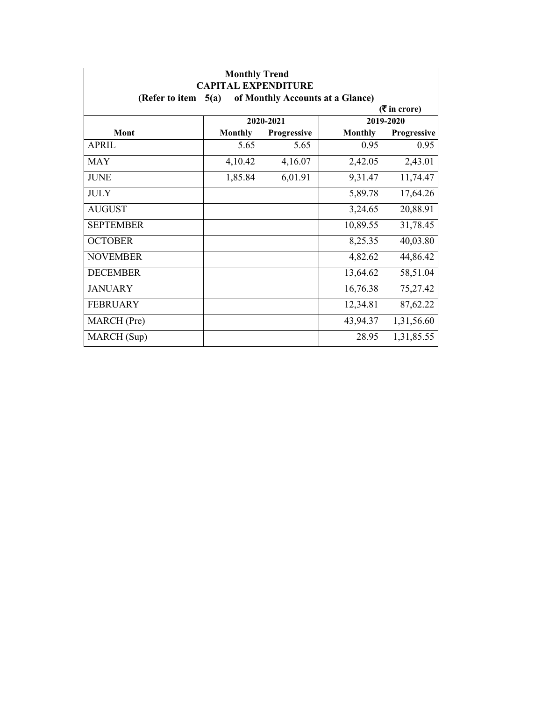| <b>Monthly Trend</b><br><b>CAPITAL EXPENDITURE</b>         |                |             |                |                    |  |  |  |
|------------------------------------------------------------|----------------|-------------|----------------|--------------------|--|--|--|
| of Monthly Accounts at a Glance)<br>(Refer to item<br>5(a) |                |             |                |                    |  |  |  |
| $($ ₹ in crore)                                            |                |             |                |                    |  |  |  |
|                                                            | 2020-2021      |             | 2019-2020      |                    |  |  |  |
| Mont                                                       | <b>Monthly</b> | Progressive | <b>Monthly</b> | <b>Progressive</b> |  |  |  |
| <b>APRIL</b>                                               | 5.65           | 5.65        | 0.95           | 0.95               |  |  |  |
| <b>MAY</b>                                                 | 4,10.42        | 4,16.07     | 2,42.05        | 2,43.01            |  |  |  |
| <b>JUNE</b>                                                | 1,85.84        | 6,01.91     | 9,31.47        | 11,74.47           |  |  |  |
| <b>JULY</b>                                                |                |             | 5,89.78        | 17,64.26           |  |  |  |
| <b>AUGUST</b>                                              |                |             | 3,24.65        | 20,88.91           |  |  |  |
| <b>SEPTEMBER</b>                                           |                |             | 10,89.55       | 31,78.45           |  |  |  |
| <b>OCTOBER</b>                                             |                |             | 8,25.35        | 40,03.80           |  |  |  |
| <b>NOVEMBER</b>                                            |                |             | 4,82.62        | 44,86.42           |  |  |  |
| <b>DECEMBER</b>                                            |                |             | 13,64.62       | 58,51.04           |  |  |  |
| <b>JANUARY</b>                                             |                |             | 16,76.38       | 75,27.42           |  |  |  |
| <b>FEBRUARY</b>                                            |                |             | 12,34.81       | 87,62.22           |  |  |  |
| MARCH (Pre)                                                |                |             | 43,94.37       | 1,31,56.60         |  |  |  |
| MARCH (Sup)                                                |                |             | 28.95          | 1,31,85.55         |  |  |  |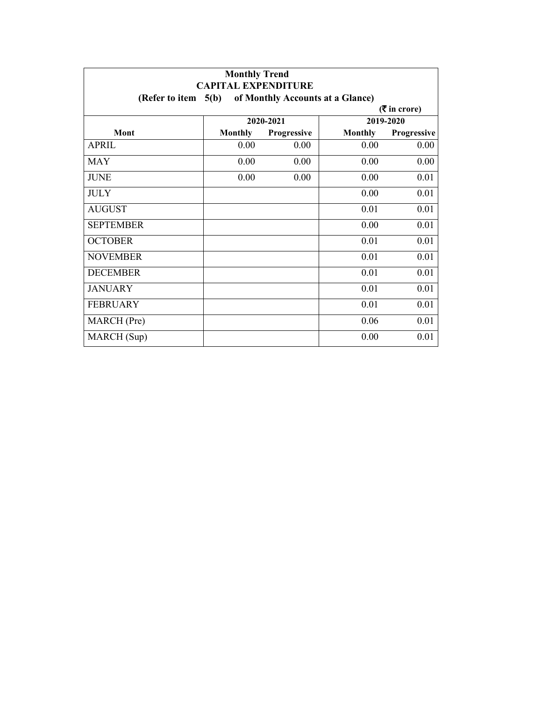| <b>Monthly Trend</b><br><b>CAPITAL EXPENDITURE</b>        |                |             |                |             |  |  |  |
|-----------------------------------------------------------|----------------|-------------|----------------|-------------|--|--|--|
| (Refer to item $5(b)$<br>of Monthly Accounts at a Glance) |                |             |                |             |  |  |  |
| $($ ₹ in crore)                                           |                |             |                |             |  |  |  |
|                                                           | 2020-2021      |             |                | 2019-2020   |  |  |  |
| Mont                                                      | <b>Monthly</b> | Progressive | <b>Monthly</b> | Progressive |  |  |  |
| <b>APRIL</b>                                              | 0.00           | 0.00        | 0.00           | 0.00        |  |  |  |
| <b>MAY</b>                                                | 0.00           | 0.00        | 0.00           | 0.00        |  |  |  |
| <b>JUNE</b>                                               | 0.00           | 0.00        | 0.00           | 0.01        |  |  |  |
| <b>JULY</b>                                               |                |             | 0.00           | 0.01        |  |  |  |
| <b>AUGUST</b>                                             |                |             | 0.01           | 0.01        |  |  |  |
| <b>SEPTEMBER</b>                                          |                |             | 0.00           | 0.01        |  |  |  |
| <b>OCTOBER</b>                                            |                |             | 0.01           | 0.01        |  |  |  |
| <b>NOVEMBER</b>                                           |                |             | 0.01           | 0.01        |  |  |  |
| <b>DECEMBER</b>                                           |                |             | 0.01           | 0.01        |  |  |  |
| <b>JANUARY</b>                                            |                |             | 0.01           | 0.01        |  |  |  |
| <b>FEBRUARY</b>                                           |                |             | 0.01           | 0.01        |  |  |  |
| MARCH (Pre)                                               |                |             | 0.06           | 0.01        |  |  |  |
| MARCH (Sup)                                               |                |             | 0.00           | 0.01        |  |  |  |